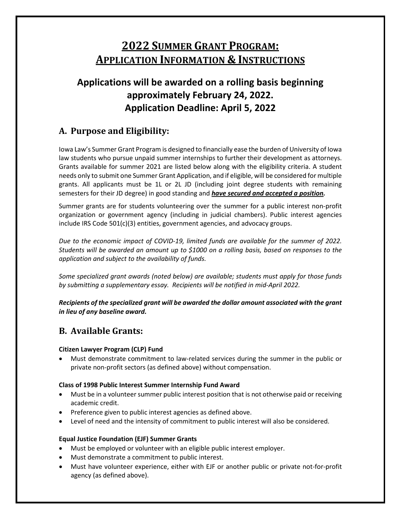# **2022 SUMMER GRANT PROGRAM: APPLICATION INFORMATION & INSTRUCTIONS**

# **Applications will be awarded on a rolling basis beginning approximately February 24, 2022. Application Deadline: April 5, 2022**

# **A. Purpose and Eligibility:**

Iowa Law's Summer Grant Program is designed to financially ease the burden of University of Iowa law students who pursue unpaid summer internships to further their development as attorneys. Grants available for summer 2021 are listed below along with the eligibility criteria. A student needs only to submit one Summer Grant Application, and if eligible, will be considered for multiple grants. All applicants must be 1L or 2L JD (including joint degree students with remaining semesters for their JD degree) in good standing and *have secured and accepted a position.*

Summer grants are for students volunteering over the summer for a public interest non-profit organization or government agency (including in judicial chambers). Public interest agencies include IRS Code 501(c)(3) entities, government agencies, and advocacy groups.

*Due to the economic impact of COVID-19, limited funds are available for the summer of 2022. Students will be awarded an amount up to \$1000 on a rolling basis, based on responses to the application and subject to the availability of funds.*

*Some specialized grant awards (noted below) are available; students must apply for those funds by submitting a supplementary essay. Recipients will be notified in mid-April 2022.* 

*Recipients of the specialized grant will be awarded the dollar amount associated with the grant in lieu of any baseline award.*

# **B. Available Grants:**

#### **Citizen Lawyer Program (CLP) Fund**

• Must demonstrate commitment to law-related services during the summer in the public or private non-profit sectors (as defined above) without compensation.

#### **Class of 1998 Public Interest Summer Internship Fund Award**

- Must be in a volunteer summer public interest position that is not otherwise paid or receiving academic credit.
- Preference given to public interest agencies as defined above.
- Level of need and the intensity of commitment to public interest will also be considered.

#### **Equal Justice Foundation (EJF) Summer Grants**

- Must be employed or volunteer with an eligible public interest employer.
- Must demonstrate a commitment to public interest.
- Must have volunteer experience, either with EJF or another public or private not-for-profit agency (as defined above).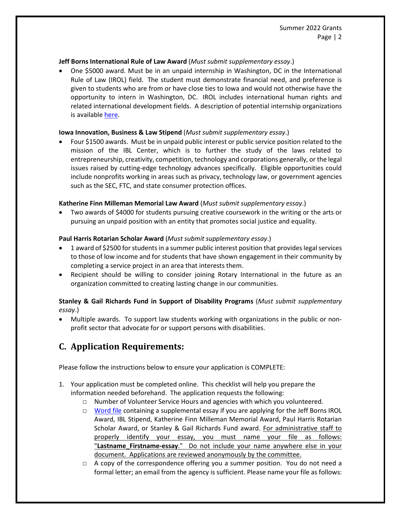#### **Jeff Borns International Rule of Law Award** (*Must submit supplementary essay*.)

• One \$5000 award. Must be in an unpaid internship in Washington, DC in the International Rule of Law (IROL) field. The student must demonstrate financial need, and preference is given to students who are from or have close ties to Iowa and would not otherwise have the opportunity to intern in Washington, DC. IROL includes international human rights and related international development fields. A description of potential internship organizations is availabl[e here.](https://law.uiowa.edu/sites/law.uiowa.edu/files/2021-09/IROL%20SUMMER%20INTERNSHIPS.pdf)

#### **Iowa Innovation, Business & Law Stipend** (*Must submit supplementary essay*.)

• Four \$1500 awards. Must be in unpaid public interest or public service position related to the mission of the IBL Center, which is to further the study of the laws related to entrepreneurship, creativity, competition, technology and corporations generally, or the legal issues raised by cutting-edge technology advances specifically. Eligible opportunities could include nonprofits working in areas such as privacy, technology law, or government agencies such as the SEC, FTC, and state consumer protection offices.

#### **Katherine Finn Milleman Memorial Law Award** (*Must submit supplementary essay*.)

• Two awards of \$4000 for students pursuing creative coursework in the writing or the arts or pursuing an unpaid position with an entity that promotes social justice and equality.

#### **Paul Harris Rotarian Scholar Award** (*Must submit supplementary essay*.)

- 1 award of \$2500 for students in a summer public interest position that provides legal services to those of low income and for students that have shown engagement in their community by completing a service project in an area that interests them.
- Recipient should be willing to consider joining Rotary International in the future as an organization committed to creating lasting change in our communities.

#### **Stanley & Gail Richards Fund in Support of Disability Programs** (*Must submit supplementary essay*.)

• Multiple awards. To support law students working with organizations in the public or nonprofit sector that advocate for or support persons with disabilities.

# **C. Application Requirements:**

Please follow the instructions below to ensure your application is COMPLETE:

- 1. Your application must be completed online. This checklist will help you prepare the information needed beforehand. The application requests the following:
	- □ Number of Volunteer Service Hours and agencies with which you volunteered.
	- □ [Word file](https://law.uiowa.edu/sites/law.uiowa.edu/files/2022-02/2022%20Supplementary%20Essay%20Template.docx) containing a supplemental essay if you are applying for the Jeff Borns IROL Award, IBL Stipend, Katherine Finn Milleman Memorial Award, Paul Harris Rotarian Scholar Award, or Stanley & Gail Richards Fund award. For administrative staff to properly identify your essay, you must name your file as follows: "**Lastname\_Firstname-essay**." Do not include your name anywhere else in your document. Applications are reviewed anonymously by the committee.
	- $\Box$  A copy of the correspondence offering you a summer position. You do not need a formal letter; an email from the agency is sufficient. Please name your file as follows: